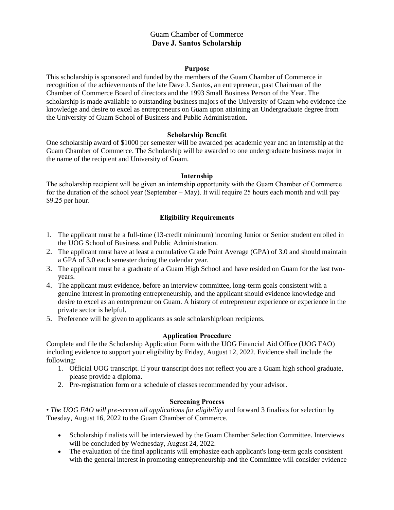# Guam Chamber of Commerce **Dave J. Santos Scholarship**

#### **Purpose**

This scholarship is sponsored and funded by the members of the Guam Chamber of Commerce in recognition of the achievements of the late Dave J. Santos, an entrepreneur, past Chairman of the Chamber of Commerce Board of directors and the 1993 Small Business Person of the Year. The scholarship is made available to outstanding business majors of the University of Guam who evidence the knowledge and desire to excel as entrepreneurs on Guam upon attaining an Undergraduate degree from the University of Guam School of Business and Public Administration.

# **Scholarship Benefit**

One scholarship award of \$1000 per semester will be awarded per academic year and an internship at the Guam Chamber of Commerce. The Scholarship will be awarded to one undergraduate business major in the name of the recipient and University of Guam.

#### **Internship**

The scholarship recipient will be given an internship opportunity with the Guam Chamber of Commerce for the duration of the school year (September – May). It will require 25 hours each month and will pay \$9.25 per hour.

# **Eligibility Requirements**

- 1. The applicant must be a full-time (13-credit minimum) incoming Junior or Senior student enrolled in the UOG School of Business and Public Administration.
- 2. The applicant must have at least a cumulative Grade Point Average (GPA) of 3.0 and should maintain a GPA of 3.0 each semester during the calendar year.
- 3. The applicant must be a graduate of a Guam High School and have resided on Guam for the last twoyears.
- 4. The applicant must evidence, before an interview committee, long-term goals consistent with a genuine interest in promoting entrepreneurship, and the applicant should evidence knowledge and desire to excel as an entrepreneur on Guam. A history of entrepreneur experience or experience in the private sector is helpful.
- 5. Preference will be given to applicants as sole scholarship/loan recipients.

# **Application Procedure**

Complete and file the Scholarship Application Form with the UOG Financial Aid Office (UOG FAO) including evidence to support your eligibility by Friday, August 12, 2022. Evidence shall include the following:

- 1. Official UOG transcript. If your transcript does not reflect you are a Guam high school graduate, please provide a diploma.
- 2. Pre-registration form or a schedule of classes recommended by your advisor.

# **Screening Process**

• *The UOG FAO will pre-screen all applications for eligibility* and forward 3 finalists for selection by Tuesday, August 16, 2022 to the Guam Chamber of Commerce.

- Scholarship finalists will be interviewed by the Guam Chamber Selection Committee. Interviews will be concluded by Wednesday, August 24, 2022.
- The evaluation of the final applicants will emphasize each applicant's long-term goals consistent with the general interest in promoting entrepreneurship and the Committee will consider evidence